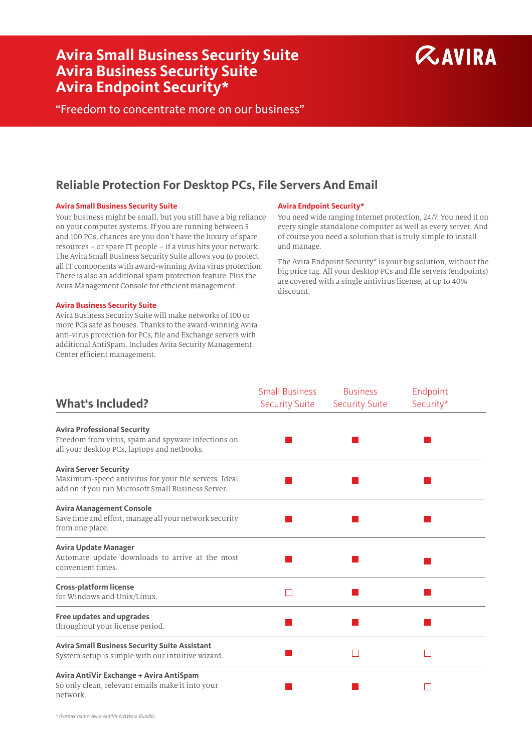# **Avira Small Business Security Suite Avira Business Security Suite Avira Endpoint Security\***



"Freedom to concentrate more on our business"

# **Reliable Protection For Desktop PCs, File Servers And Email**

# **Avira Small Business Security Suite Avira Endpoint Security\***

Your business might be small, but you still have a big reliance on your computer systems. If you are running between 5 and 100 PCs, chances are you don't have the luxury of spare resources – or spare IT people – if a virus hits your network. The Avira Small Business Security Suite allows you to protect all IT components with award-winning Avira virus protection. There is also an additional spam protection feature. Plus the Avira Management Console for efficient management.

# **Avira Business Security Suite**

Avira Business Security Suite will make networks of 100 or more PCs safe as houses. Thanks to the award-winning Avira anti-virus protection for PCs, file and Exchange servers with additional AntiSpam. Includes Avira Security Management Center efficient management.

You need wide ranging Internet protection, 24/7. You need it on every single standalone computer as well as every server. And of course you need a solution that is truly simple to install and manage.

The Avira Endpoint Security\* is your big solution, without the big price tag. All your desktop PCs and file servers (endpoints) are covered with a single antivirus license, at up to 40% discount.

|                                                                                                                                            | <b>Small Business</b> | <b>Business</b>       | Endpoint  |
|--------------------------------------------------------------------------------------------------------------------------------------------|-----------------------|-----------------------|-----------|
| <b>What's Included?</b>                                                                                                                    | <b>Security Suite</b> | <b>Security Suite</b> | Security* |
| <b>Avira Professional Security</b><br>Freedom from virus, spam and spyware infections on<br>all your desktop PCs, laptops and netbooks.    |                       |                       |           |
| <b>Avira Server Security</b><br>Maximum-speed antivirus for your file servers. Ideal<br>add on if you run Microsoft Small Business Server. |                       |                       |           |
| <b>Avira Management Console</b><br>Save time and effort, manage all your network security<br>from one place.                               |                       |                       |           |
| <b>Avira Update Manager</b><br>Automate update downloads to arrive at the most<br>convenient times.                                        |                       |                       |           |
| <b>Cross-platform license</b><br>for Windows and Unix/Linux.                                                                               | ш                     |                       |           |
| <b>Free updates and upgrades</b><br>throughout your license period.                                                                        |                       |                       |           |
| <b>Avira Small Business Security Suite Assistant</b><br>System setup is simple with our intuitive wizard.                                  |                       |                       |           |
| Avira AntiVir Exchange + Avira AntiSpam<br>So only clean, relevant emails make it into your<br>network.                                    |                       |                       |           |